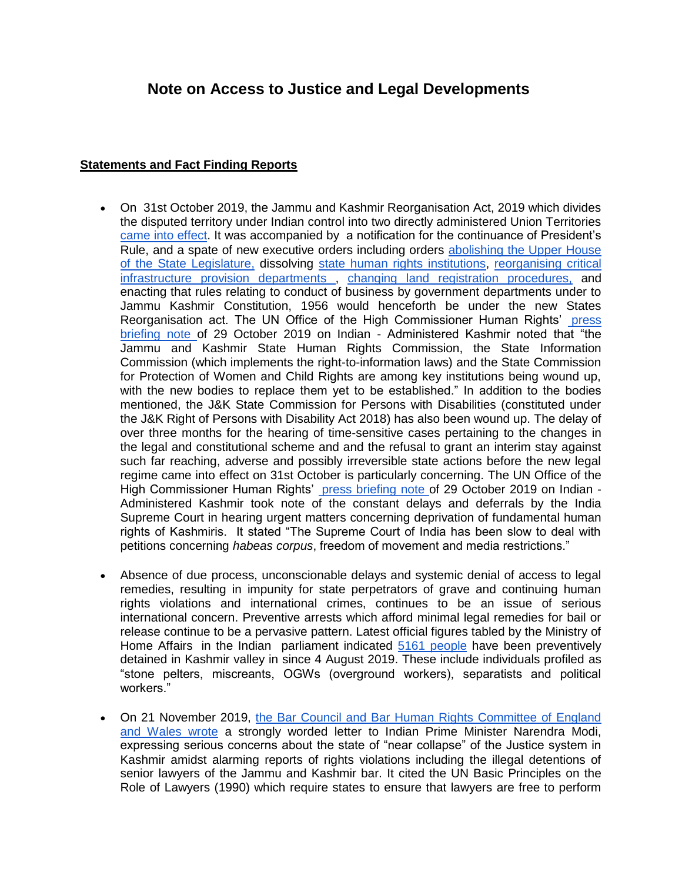# **Note on Access to Justice and Legal Developments**

## **Statements and Fact Finding Reports**

- On 31st October 2019, the Jammu and Kashmir Reorganisation Act, 2019 which divides the disputed territory under Indian control into two directly administered Union Territories [came into effect.](https://pib.gov.in/Pressreleaseshare.aspx?PRID=1592557) It was accompanied by a notification for the continuance of President's Rule, and a spate of new executive orders including orders [abolishing the Upper House](https://www.thehindu.com/news/national/jk-administration-orders-abolition-of-legislative-council-asks-its-staff-to-report-to-gad/article29723937.ece)  [of the State Legislature,](https://www.thehindu.com/news/national/jk-administration-orders-abolition-of-legislative-council-asks-its-staff-to-report-to-gad/article29723937.ece) dissolving [state human rights institutions,](https://thewire.in/government/jk-administration-winds-up-seven-state-commissions) [reorganising critical](https://jkgad.nic.in/leftMenu/OrderCirculer.aspx)  [infrastructure provision departments ,](https://jkgad.nic.in/leftMenu/OrderCirculer.aspx) [changing land registration procedures,](https://scroll.in/article/943871/in-jammu-and-kashmir-a-new-department-opens-to-register-land-transactions-and-its-sparked-anger) and enacting that rules relating to conduct of business by government departments under to Jammu Kashmir Constitution, 1956 would henceforth be under the new States Reorganisation act. The UN Office of the High Commissioner Human Rights' [press](https://www.ohchr.org/EN/NewsEvents/Pages/DisplayNews.aspx?NewsID=25219&LangID=E)  [briefing note o](https://www.ohchr.org/EN/NewsEvents/Pages/DisplayNews.aspx?NewsID=25219&LangID=E)f 29 October 2019 on Indian - Administered Kashmir noted that "the Jammu and Kashmir State Human Rights Commission, the State Information Commission (which implements the right-to-information laws) and the State Commission for Protection of Women and Child Rights are among key institutions being wound up, with the new bodies to replace them yet to be established." In addition to the bodies mentioned, the J&K State Commission for Persons with Disabilities (constituted under the J&K Right of Persons with Disability Act 2018) has also been wound up. The delay of over three months for the hearing of time-sensitive cases pertaining to the changes in the legal and constitutional scheme and and the refusal to grant an interim stay against such far reaching, adverse and possibly irreversible state actions before the new legal regime came into effect on 31st October is particularly concerning. The UN Office of the High Commissioner Human Rights' [press briefing note o](https://www.ohchr.org/EN/NewsEvents/Pages/DisplayNews.aspx?NewsID=25219&LangID=E)f 29 October 2019 on Indian -Administered Kashmir took note of the constant delays and deferrals by the India Supreme Court in hearing urgent matters concerning deprivation of fundamental human rights of Kashmiris. It stated "The Supreme Court of India has been slow to deal with petitions concerning *habeas corpus*, freedom of movement and media restrictions."
- Absence of due process, unconscionable delays and systemic denial of access to legal remedies, resulting in impunity for state perpetrators of grave and continuing human rights violations and international crimes, continues to be an issue of serious international concern. Preventive arrests which afford minimal legal remedies for bail or release continue to be a pervasive pattern. Latest official figures tabled by the Ministry of Home Affairs in the Indian parliament indicated [5161 people](https://thewire.in/government/jammu-and-kashmir-detentions-parliament) have been preventively detained in Kashmir valley in since 4 August 2019. These include individuals profiled as "stone pelters, miscreants, OGWs (overground workers), separatists and political workers."
- On 21 November 2019, [the Bar Council and Bar Human Rights Committee of England](https://www.livelaw.in/top-stories/justice-system-in-kashmir-in-a-state-of-near-collapse-uk-lawyers-body-write-to-pm-read-letter-150034)  [and Wales wrote](https://www.livelaw.in/top-stories/justice-system-in-kashmir-in-a-state-of-near-collapse-uk-lawyers-body-write-to-pm-read-letter-150034) a strongly worded letter to Indian Prime Minister Narendra Modi, expressing serious concerns about the state of "near collapse" of the Justice system in Kashmir amidst alarming reports of rights violations including the illegal detentions of senior lawyers of the Jammu and Kashmir bar. It cited the UN Basic Principles on the Role of Lawyers (1990) which require states to ensure that lawyers are free to perform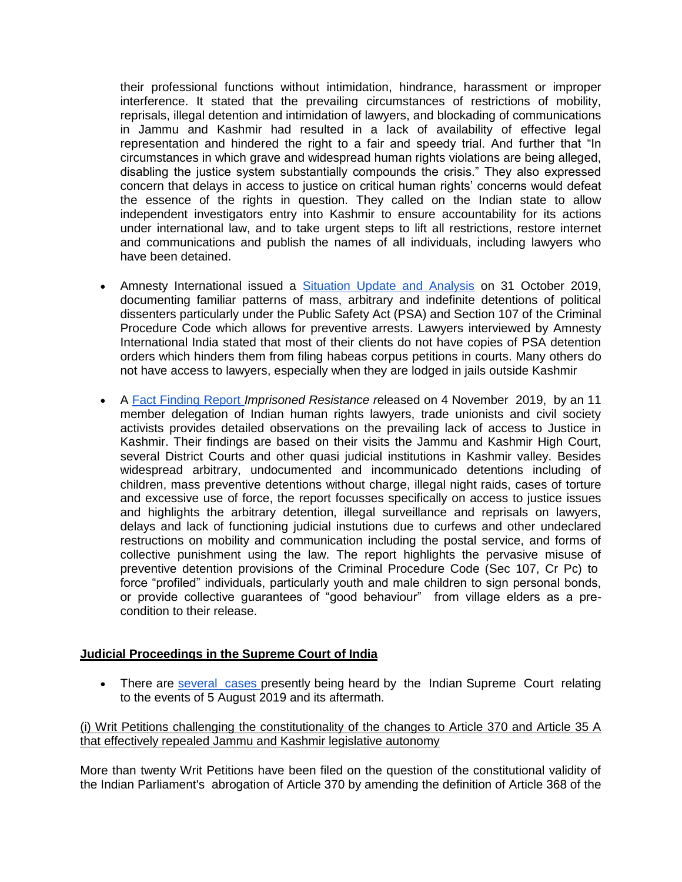their professional functions without intimidation, hindrance, harassment or improper interference. It stated that the prevailing circumstances of restrictions of mobility, reprisals, illegal detention and intimidation of lawyers, and blockading of communications in Jammu and Kashmir had resulted in a lack of availability of effective legal representation and hindered the right to a fair and speedy trial. And further that "In circumstances in which grave and widespread human rights violations are being alleged, disabling the justice system substantially compounds the crisis." They also expressed concern that delays in access to justice on critical human rights' concerns would defeat the essence of the rights in question. They called on the Indian state to allow independent investigators entry into Kashmir to ensure accountability for its actions under international law, and to take urgent steps to lift all restrictions, restore internet and communications and publish the names of all individuals, including lawyers who have been detained.

- Amnesty International issued a [Situation Update and Analysis](https://amnesty.org.in/wp-content/uploads/2019/10/Amnesty-International-India-Kashmir-Situation-Update-Final.pdf) on 31 October 2019, documenting familiar patterns of mass, arbitrary and indefinite detentions of political dissenters particularly under the Public Safety Act (PSA) and Section 107 of the Criminal Procedure Code which allows for preventive arrests. Lawyers interviewed by Amnesty International India stated that most of their clients do not have copies of PSA detention orders which hinders them from filing habeas corpus petitions in courts. Many others do not have access to lawyers, especially when they are lodged in jails outside Kashmir
- A [Fact Finding Report](http://www.pucl.org/reports/imprisoned-resistance-5th-august-and-its-aftermath) *Imprisoned Resistance r*eleased on 4 November 2019, by an 11 member delegation of Indian human rights lawyers, trade unionists and civil society activists provides detailed observations on the prevailing lack of access to Justice in Kashmir. Their findings are based on their visits the Jammu and Kashmir High Court, several District Courts and other quasi judicial institutions in Kashmir valley. Besides widespread arbitrary, undocumented and incommunicado detentions including of children, mass preventive detentions without charge, illegal night raids, cases of torture and excessive use of force, the report focusses specifically on access to justice issues and highlights the arbitrary detention, illegal surveillance and reprisals on lawyers, delays and lack of functioning judicial instutions due to curfews and other undeclared restructions on mobility and communication including the postal service, and forms of collective punishment using the law. The report highlights the pervasive misuse of preventive detention provisions of the Criminal Procedure Code (Sec 107, Cr Pc) to force "profiled" individuals, particularly youth and male children to sign personal bonds, or provide collective guarantees of "good behaviour" from village elders as a precondition to their release.

## **Judicial Proceedings in the Supreme Court of India**

• There are [several](https://www.livelaw.in/rti/kashmir-article-370-hearing-in-sc-petitions-pleadings-arguments-orders-and-more-149988) cases presently being heard by the Indian Supreme Court relating to the events of 5 August 2019 and its aftermath.

(i) Writ Petitions challenging the constitutionality of the changes to Article 370 and Article 35 A that effectively repealed Jammu and Kashmir legislative autonomy

More than twenty Writ Petitions have been filed on the question of the constitutional validity of the Indian Parliament's abrogation of Article 370 by amending the definition of Article 368 of the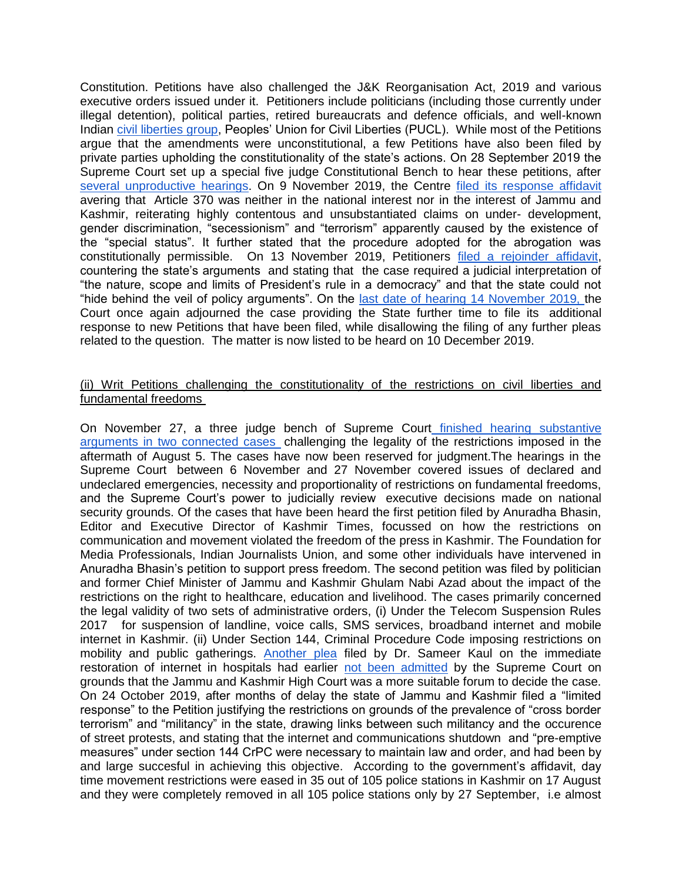Constitution. Petitions have also challenged the J&K Reorganisation Act, 2019 and various executive orders issued under it. Petitioners include politicians (including those currently under illegal detention), political parties, retired bureaucrats and defence officials, and well-known Indian [civil liberties group,](http://www.pucl.org/press-statements/pucl-petition-art-370) Peoples' Union for Civil Liberties (PUCL). While most of the Petitions argue that the amendments were unconstitutional, a few Petitions have also been filed by private parties upholding the constitutionality of the state's actions. On 28 September 2019 the Supreme Court set up a special five judge Constitutional Bench to hear these petitions, after [several unproductive hearings.](https://thewire.in/law/number-of-days-of-kashmir-lockdown-58-number-of-replies-filed-by-centre-to-jk-petitions-0) On 9 November 2019, the Centre [filed its response affidavit](https://scroll.in/latest/943403/j-k-militants-and-separatists-took-advantage-of-article-370-centre-tells-supreme-court) avering that Article 370 was neither in the national interest nor in the interest of Jammu and Kashmir, reiterating highly contentous and unsubstantiated claims on under- development, gender discrimination, "secessionism" and "terrorism" apparently caused by the existence of the "special status". It further stated that the procedure adopted for the abrogation was constitutionally permissible. On 13 November 2019, Petitioners [filed a rejoinder affidavit,](https://www.livelaw.in/top-stories/temporary-presidents-rule-cannot-be-used-permanently-repeal-jk-special-status-petitioners-article-370-cases--149738) countering the state's arguments and stating that the case required a judicial interpretation of "the nature, scope and limits of President's rule in a democracy" and that the state could not "hide behind the veil of policy arguments". On the [last date of hearing 14 November 2019, t](https://economictimes.indiatimes.com/news/politics-and-nation/article-370-sc-fixes-nov-14-for-hearing-on-constitutional-validity-of-centres-decision/articleshow/71389599.cms?from=mdr)he Court once again adjourned the case providing the State further time to file its additional response to new Petitions that have been filed, while disallowing the filing of any further pleas related to the question. The matter is now listed to be heard on 10 December 2019.

## (ii) Writ Petitions challenging the constitutionality of the restrictions on civil liberties and fundamental freedoms

On November 27, a three judge bench of Supreme Court [finished hearing substantive](https://www.livelaw.in/top-stories/sc-reserves-judgment-on-petitions-challenging-restrictions-in-kashmir-150209)  [arguments in two connected cases](https://www.livelaw.in/top-stories/sc-reserves-judgment-on-petitions-challenging-restrictions-in-kashmir-150209) challenging the legality of the restrictions imposed in the aftermath of August 5. The cases have now been reserved for judgment.The hearings in the Supreme Court between 6 November and 27 November covered issues of declared and undeclared emergencies, necessity and proportionality of restrictions on fundamental freedoms, and the Supreme Court's power to judicially review executive decisions made on national security grounds. Of the cases that have been heard the first petition filed by Anuradha Bhasin, Editor and Executive Director of Kashmir Times, focussed on how the restrictions on communication and movement violated the freedom of the press in Kashmir. The Foundation for Media Professionals, Indian Journalists Union, and some other individuals have intervened in Anuradha Bhasin's petition to support press freedom. The second petition was filed by politician and former Chief Minister of Jammu and Kashmir Ghulam Nabi Azad about the impact of the restrictions on the right to healthcare, education and livelihood. The cases primarily concerned the legal validity of two sets of administrative orders, (i) Under the Telecom Suspension Rules 2017 for suspension of landline, voice calls, SMS services, broadband internet and mobile internet in Kashmir. (ii) Under Section 144, Criminal Procedure Code imposing restrictions on mobility and public gatherings. [Another plea](https://www.business-standard.com/article/news-ani/pil-in-sc-seeks-immediate-restoration-of-internet-services-in-jk-landline-phones-in-hospitals-119091101435_1.html) filed by Dr. Sameer Kaul on the immediate restoration of internet in hospitals had earlier [not been admitted](https://www.business-standard.com/article/news-ani/pil-in-sc-seeks-immediate-restoration-of-internet-services-in-jk-landline-phones-in-hospitals-119091101435_1.html) by the Supreme Court on grounds that the Jammu and Kashmir High Court was a more suitable forum to decide the case. On 24 October 2019, after months of delay the state of Jammu and Kashmir filed a "limited response" to the Petition justifying the restrictions on grounds of the prevalence of "cross border terrorism" and "militancy" in the state, drawing links between such militancy and the occurence of street protests, and stating that the internet and communications shutdown and "pre-emptive measures" under section 144 CrPC were necessary to maintain law and order, and had been by and large succesful in achieving this objective. According to the government's affidavit, day time movement restrictions were eased in 35 out of 105 police stations in Kashmir on 17 August and they were completely removed in all 105 police stations only by 27 September, i.e almost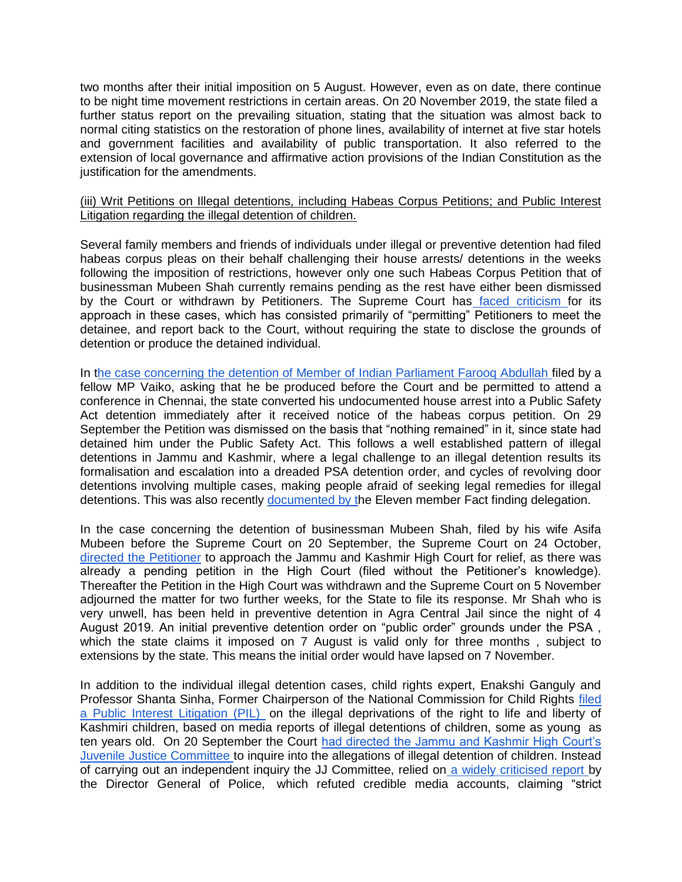two months after their initial imposition on 5 August. However, even as on date, there continue to be night time movement restrictions in certain areas. On 20 November 2019, the state filed a further status report on the prevailing situation, stating that the situation was almost back to normal citing statistics on the restoration of phone lines, availability of internet at five star hotels and government facilities and availability of public transportation. It also referred to the extension of local governance and affirmative action provisions of the Indian Constitution as the justification for the amendments.

## (iii) Writ Petitions on Illegal detentions, including Habeas Corpus Petitions; and Public Interest Litigation regarding the illegal detention of children.

Several family members and friends of individuals under illegal or preventive detention had filed habeas corpus pleas on their behalf challenging their house arrests/ detentions in the weeks following the imposition of restrictions, however only one such Habeas Corpus Petition that of businessman Mubeen Shah currently remains pending as the rest have either been dismissed by the Court or withdrawn by Petitioners. The Supreme Court has [faced criticism f](https://frontline.thehindu.com/cover-story/article29604480.ece)or its approach in these cases, which has consisted primarily of "permitting" Petitioners to meet the detainee, and report back to the Court, without requiring the state to disclose the grounds of detention or produce the detained individual.

In [the case concerning the detention of Member of Indian Parliament Farooq Abdullah f](https://www.newsclick.in/Farooq-Abdullah-PSA-Modi-Government-Article-370-Supreme-Court-MDMK-Vaiko-Amit-Shah)iled by a fellow MP Vaiko, asking that he be produced before the Court and be permitted to attend a conference in Chennai, the state converted his undocumented house arrest into a Public Safety Act detention immediately after it received notice of the habeas corpus petition. On 29 September the Petition was dismissed on the basis that "nothing remained" in it, since state had detained him under the Public Safety Act. This follows a well established pattern of illegal detentions in Jammu and Kashmir, where a legal challenge to an illegal detention results its formalisation and escalation into a dreaded PSA detention order, and cycles of revolving door detentions involving multiple cases, making people afraid of seeking legal remedies for illegal detentions. This was also recently [documented by th](http://www.pucl.org/reports/imprisoned-resistance-5th-august-and-its-aftermath)e Eleven member Fact finding delegation.

In the case concerning the detention of businessman Mubeen Shah, filed by his wife Asifa Mubeen before the Supreme Court on 20 September, the Supreme Court on 24 October[,](https://thewire.in/communalism/supreme-court-asks-jk-hc-to-expeditiously-decide-plea-on-detention) [directed the Petitioner](https://thewire.in/communalism/supreme-court-asks-jk-hc-to-expeditiously-decide-plea-on-detention) to approach the Jammu and Kashmir High Court for relief, as there was already a pending petition in the High Court (filed without the Petitioner's knowledge). Thereafter the Petition in the High Court was withdrawn and the Supreme Court on 5 November adjourned the matter for two further weeks, for the State to file its response. Mr Shah who is very unwell, has been held in preventive detention in Agra Central Jail since the night of 4 August 2019. An initial preventive detention order on "public order" grounds under the PSA , which the state claims it imposed on 7 August is valid only for three months, subject to extensions by the state. This means the initial order would have lapsed on 7 November.

In addition to the individual illegal detention cases, child rights expert, Enakshi Ganguly and Professor Shanta Sinha, Former Chairperson of the National Commission for Child Rights [filed](https://thewire.in/law/kashmir-children-detained)  [a Public Interest Litigation \(PIL\)](https://thewire.in/law/kashmir-children-detained) on the illegal deprivations of the right to life and liberty of Kashmiri children, based on media reports of illegal detentions of children, some as young as ten years old. On 20 September the Court [had directed the Jammu and Kashmir High Court's](https://www.thehindu.com/news/national/high-court-panel-to-probe-allegations-of-illegal-detention-of-children-in-jk/article29466233.ece)  [Juvenile Justice Committee t](https://www.thehindu.com/news/national/high-court-panel-to-probe-allegations-of-illegal-detention-of-children-in-jk/article29466233.ece)o inquire into the allegations of illegal detention of children. Instead of carrying out an independent inquiry the JJ Committee, relied on [a widely criticised report b](https://thewire.in/rights/kashmir-minors-2)y the Director General of Police, which refuted credible media accounts, claiming "strict